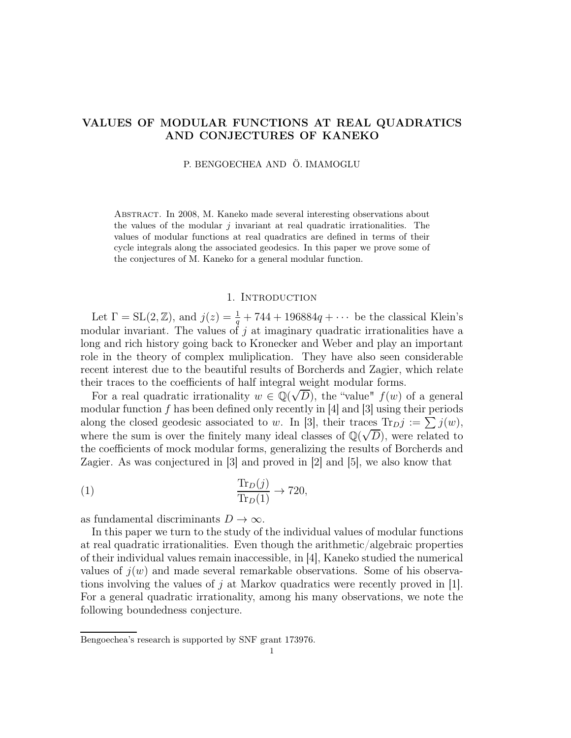# VALUES OF MODULAR FUNCTIONS AT REAL QUADRATICS AND CONJECTURES OF KANEKO

P. BENGOECHEA AND Ö. IMAMOGLU

Abstract. In 2008, M. Kaneko made several interesting observations about the values of the modular  $j$  invariant at real quadratic irrationalities. The values of modular functions at real quadratics are defined in terms of their cycle integrals along the associated geodesics. In this paper we prove some of the conjectures of M. Kaneko for a general modular function.

### 1. INTRODUCTION

Let  $\Gamma = SL(2, \mathbb{Z})$ , and  $j(z) = \frac{1}{q} + 744 + 196884q + \cdots$  be the classical Klein's modular invariant. The values of j at imaginary quadratic irrationalities have a long and rich history going back to Kronecker and Weber and play an important role in the theory of complex muliplication. They have also seen considerable recent interest due to the beautiful results of Borcherds and Zagier, which relate their traces to the coefficients of half integral weight modular forms.

For a real quadratic irrationality  $w \in \mathbb{Q}(\sqrt{D})$ , the "value"  $f(w)$  of a general modular function  $f$  has been defined only recently in [4] and [3] using their periods along the closed geodesic associated to w. In [3], their traces  $\text{Tr}_D j := \sum j(w)$ , where the sum is over the finitely many ideal classes of  $\mathbb{Q}(\sqrt{D})$ , were related to the coefficients of mock modular forms, generalizing the results of Borcherds and Zagier. As was conjectured in [3] and proved in [2] and [5], we also know that

(1) 
$$
\frac{\text{Tr}_D(j)}{\text{Tr}_D(1)} \to 720,
$$

as fundamental discriminants  $D \to \infty$ .

In this paper we turn to the study of the individual values of modular functions at real quadratic irrationalities. Even though the arithmetic/algebraic properties of their individual values remain inaccessible, in [4], Kaneko studied the numerical values of  $j(w)$  and made several remarkable observations. Some of his observations involving the values of  $j$  at Markov quadratics were recently proved in [1]. For a general quadratic irrationality, among his many observations, we note the following boundedness conjecture.

Bengoechea's research is supported by SNF grant 173976.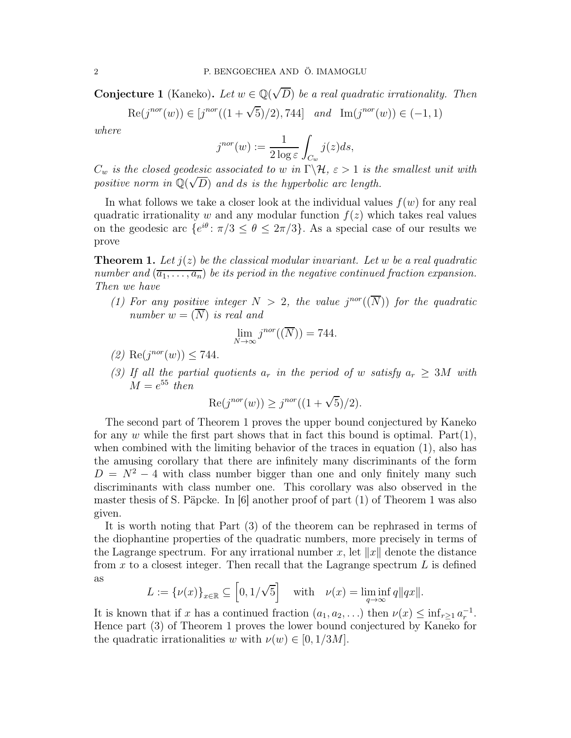**Conjecture 1** (Kaneko). Let  $w \in \mathbb{Q}(\sqrt{D})$  be a real quadratic irrationality. Then

$$
Re(j^{nor}(w)) \in [j^{nor}((1+\sqrt{5})/2), 744] \quad and \quad Im(j^{nor}(w)) \in (-1,1)
$$

*where*

$$
j^{nor}(w) := \frac{1}{2 \log \varepsilon} \int_{C_w} j(z) ds,
$$

 $C_w$  *is the closed geodesic associated to* w *in*  $\Gamma \backslash \mathcal{H}$ ,  $\varepsilon > 1$  *is the smallest unit with* positive norm in  $\mathbb{Q}(\sqrt{D})$  and ds is the hyperbolic arc length.

In what follows we take a closer look at the individual values  $f(w)$  for any real quadratic irrationality w and any modular function  $f(z)$  which takes real values on the geodesic arc  $\{e^{i\theta} : \pi/3 \leq \theta \leq 2\pi/3\}$ . As a special case of our results we prove

**Theorem 1.** Let  $j(z)$  be the classical modular invariant. Let w be a real quadratic *number and*  $(\overline{a_1, \ldots, a_n})$  *be its period in the negative continued fraction expansion. Then we have*

(1) For any positive integer  $N > 2$ , the value  $j^{nor}(\overline{N})$  for the quadratic *number*  $w = (\overline{N})$  *is real and* 

$$
\lim_{N \to \infty} j^{nor}((\overline{N})) = 744.
$$

- $(2)$  Re $(j^{nor}(w)) \le 744$ .
- *(3) If all the partial quotients*  $a_r$  *in the period of* w *satisfy*  $a_r \geq 3M$  with  $M = e^{55}$  then

$$
Re(j^{nor}(w)) \ge j^{nor}((1+\sqrt{5})/2).
$$

The second part of Theorem 1 proves the upper bound conjectured by Kaneko for any w while the first part shows that in fact this bound is optimal. Part $(1)$ , when combined with the limiting behavior of the traces in equation (1), also has the amusing corollary that there are infinitely many discriminants of the form  $D = N^2 - 4$  with class number bigger than one and only finitely many such discriminants with class number one. This corollary was also observed in the master thesis of S. Päpcke. In [6] another proof of part (1) of Theorem 1 was also given.

It is worth noting that Part (3) of the theorem can be rephrased in terms of the diophantine properties of the quadratic numbers, more precisely in terms of the Lagrange spectrum. For any irrational number x, let  $||x||$  denote the distance from x to a closest integer. Then recall that the Lagrange spectrum  $L$  is defined as

$$
L := {\{\nu(x)\}}_{x \in \mathbb{R}} \subseteq \left[0, 1/\sqrt{5}\right] \quad \text{with} \quad \nu(x) = \liminf_{q \to \infty} q||qx||.
$$

It is known that if x has a continued fraction  $(a_1, a_2, \ldots)$  then  $\nu(x) \leq \inf_{r \geq 1} a_r^{-1}$ . Hence part (3) of Theorem 1 proves the lower bound conjectured by Kaneko for the quadratic irrationalities w with  $\nu(w) \in [0, 1/3M]$ .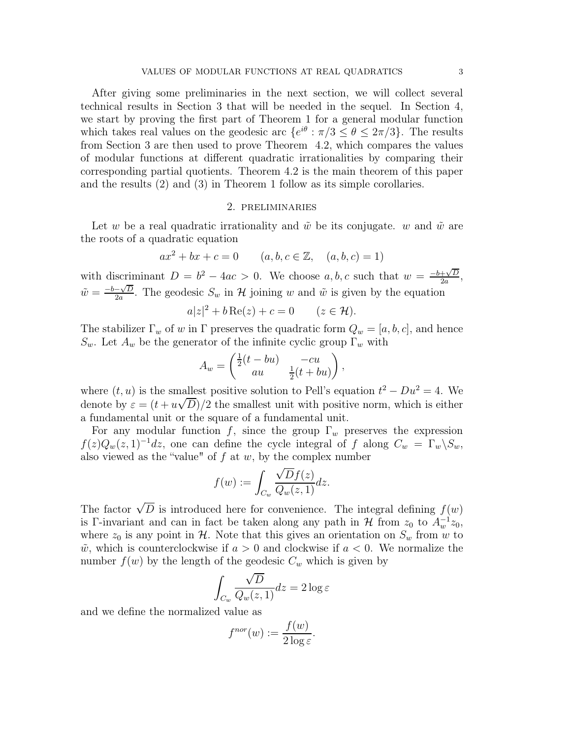After giving some preliminaries in the next section, we will collect several technical results in Section 3 that will be needed in the sequel. In Section 4, we start by proving the first part of Theorem 1 for a general modular function which takes real values on the geodesic arc  $\{e^{i\theta} : \pi/3 \le \theta \le 2\pi/3\}$ . The results from Section 3 are then used to prove Theorem 4.2, which compares the values of modular functions at different quadratic irrationalities by comparing their corresponding partial quotients. Theorem 4.2 is the main theorem of this paper and the results (2) and (3) in Theorem 1 follow as its simple corollaries.

#### 2. preliminaries

Let w be a real quadratic irrationality and  $\tilde{w}$  be its conjugate. w and  $\tilde{w}$  are the roots of a quadratic equation

$$
ax^{2} + bx + c = 0
$$
  $(a, b, c \in \mathbb{Z}, (a, b, c) = 1)$ 

with discriminant  $D = b^2 - 4ac > 0$ . We choose  $a, b, c$  such that  $w = \frac{-b + \sqrt{D}}{2a}$  $\frac{+\sqrt{D}}{2a},$  $\tilde{w} = \frac{-b - \sqrt{D}}{2a}$  $\frac{-\sqrt{D}}{2a}$ . The geodesic  $S_w$  in H joining w and  $\tilde{w}$  is given by the equation  $a|z|^2 + b \operatorname{Re}(z) + c = 0$   $(z \in \mathcal{H}).$ 

The stabilizer  $\Gamma_w$  of w in  $\Gamma$  preserves the quadratic form  $Q_w = [a, b, c]$ , and hence  $S_w$ . Let  $A_w$  be the generator of the infinite cyclic group  $\Gamma_w$  with

$$
A_w = \begin{pmatrix} \frac{1}{2}(t - bu) & -cu \\ au & \frac{1}{2}(t + bu) \end{pmatrix},
$$

where  $(t, u)$  is the smallest positive solution to Pell's equation  $t^2 - Du^2 = 4$ . We denote by  $\varepsilon = (t + u\sqrt{D})/2$  the smallest unit with positive norm, which is either a fundamental unit or the square of a fundamental unit.

For any modular function f, since the group  $\Gamma_w$  preserves the expression  $f(z)Q_w(z, 1)^{-1}dz$ , one can define the cycle integral of f along  $C_w = \Gamma_w \backslash S_w$ , also viewed as the "value" of  $f$  at  $w$ , by the complex number

$$
f(w) := \int_{C_w} \frac{\sqrt{D}f(z)}{Q_w(z, 1)} dz.
$$

The factor  $\sqrt{D}$  is introduced here for convenience. The integral defining  $f(w)$ is Γ-invariant and can in fact be taken along any path in H from  $z_0$  to  $A_w^{-1}z_0$ , where  $z_0$  is any point in H. Note that this gives an orientation on  $S_w$  from w to  $\tilde{w}$ , which is counterclockwise if  $a > 0$  and clockwise if  $a < 0$ . We normalize the number  $f(w)$  by the length of the geodesic  $C_w$  which is given by

$$
\int_{C_w} \frac{\sqrt{D}}{Q_w(z, 1)} dz = 2 \log \varepsilon
$$

and we define the normalized value as

$$
f^{nor}(w) := \frac{f(w)}{2\log \varepsilon}.
$$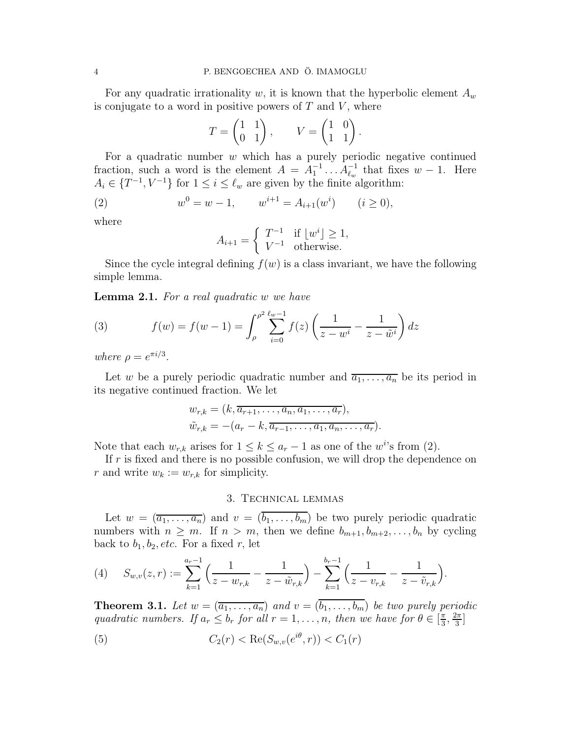For any quadratic irrationality w, it is known that the hyperbolic element  $A_w$ is conjugate to a word in positive powers of  $T$  and  $V$ , where

$$
T = \begin{pmatrix} 1 & 1 \\ 0 & 1 \end{pmatrix}, \qquad V = \begin{pmatrix} 1 & 0 \\ 1 & 1 \end{pmatrix}.
$$

For a quadratic number  $w$  which has a purely periodic negative continued fraction, such a word is the element  $A = A_1^{-1} \dots A_{\ell_w}^{-1}$  that fixes  $w - 1$ . Here  $A_i \in \{T^{-1}, V^{-1}\}\$ for  $1 \leq i \leq \ell_w$  are given by the finite algorithm:

(2) 
$$
w^{0} = w - 1, \qquad w^{i+1} = A_{i+1}(w^{i}) \qquad (i \ge 0),
$$

where

$$
A_{i+1} = \begin{cases} T^{-1} & \text{if } \lfloor w^i \rfloor \ge 1, \\ V^{-1} & \text{otherwise.} \end{cases}
$$

Since the cycle integral defining  $f(w)$  is a class invariant, we have the following simple lemma.

Lemma 2.1. *For a real quadratic* w *we have*

(3) 
$$
f(w) = f(w-1) = \int_{\rho}^{\rho^2} \sum_{i=0}^{\ell_w - 1} f(z) \left( \frac{1}{z - w^i} - \frac{1}{z - \tilde{w}^i} \right) dz
$$

*where*  $\rho = e^{\pi i/3}$ .

Let w be a purely periodic quadratic number and  $\overline{a_1, \ldots, a_n}$  be its period in its negative continued fraction. We let

$$
w_{r,k} = (k, \overline{a_{r+1}, \ldots, a_n, a_1, \ldots, a_r}),
$$
  

$$
\tilde{w}_{r,k} = -(a_r - k, \overline{a_{r-1}, \ldots, a_1, a_n, \ldots, a_r}).
$$

Note that each  $w_{r,k}$  arises for  $1 \leq k \leq a_r - 1$  as one of the w<sup>i</sup>'s from (2).

If  $r$  is fixed and there is no possible confusion, we will drop the dependence on r and write  $w_k := w_{r,k}$  for simplicity.

## 3. Technical lemmas

Let  $w = (\overline{a_1, \ldots, a_n})$  and  $v = (\overline{b_1, \ldots, b_m})$  be two purely periodic quadratic numbers with  $n \geq m$ . If  $n > m$ , then we define  $b_{m+1}, b_{m+2}, \ldots, b_n$  by cycling back to  $b_1, b_2, etc.$  For a fixed r, let

(4) 
$$
S_{w,v}(z,r) := \sum_{k=1}^{a_r-1} \left( \frac{1}{z - w_{r,k}} - \frac{1}{z - \tilde{w}_{r,k}} \right) - \sum_{k=1}^{b_r-1} \left( \frac{1}{z - v_{r,k}} - \frac{1}{z - \tilde{v}_{r,k}} \right).
$$

**Theorem 3.1.** Let  $w = (\overline{a_1, \ldots, a_n})$  and  $v = (\overline{b_1, \ldots, b_m})$  be two purely periodic *quadratic numbers. If*  $a_r \leq b_r$  *for all*  $r = 1, \ldots, n$ *, then we have for*  $\theta \in \left[\frac{\pi}{3}\right]$  $\frac{\pi}{3}, \frac{2\pi}{3}$  $\frac{2\pi}{3}]$ 

(5) 
$$
C_2(r) < \text{Re}(S_{w,v}(e^{i\theta}, r)) < C_1(r)
$$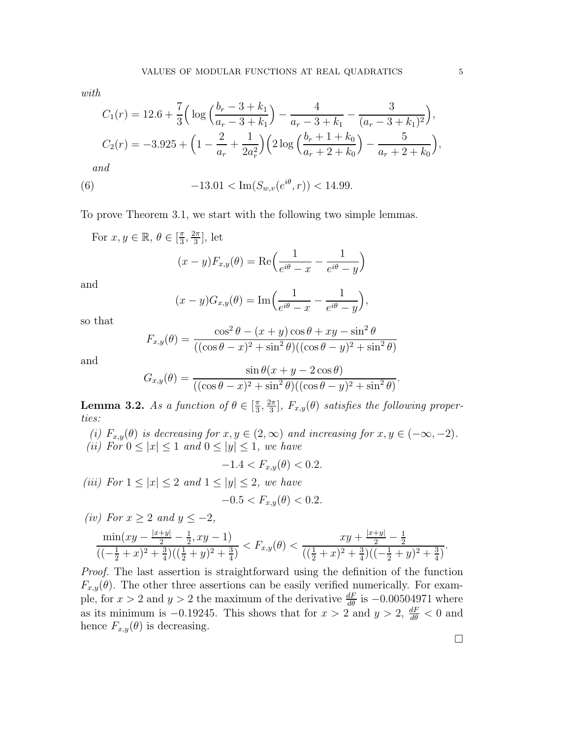*with*

$$
C_1(r) = 12.6 + \frac{7}{3} \left( \log \left( \frac{b_r - 3 + k_1}{a_r - 3 + k_1} \right) - \frac{4}{a_r - 3 + k_1} - \frac{3}{(a_r - 3 + k_1)^2} \right),
$$
  
\n
$$
C_2(r) = -3.925 + \left( 1 - \frac{2}{a_r} + \frac{1}{2a_r^2} \right) \left( 2 \log \left( \frac{b_r + 1 + k_0}{a_r + 2 + k_0} \right) - \frac{5}{a_r + 2 + k_0} \right),
$$
  
\nand

(6) 
$$
-13.01 < \text{Im}(S_{w,v}(e^{i\theta}, r)) < 14.99.
$$

To prove Theorem 3.1, we start with the following two simple lemmas.

For  $x, y \in \mathbb{R}, \theta \in \left[\frac{\pi}{3}\right]$  $\frac{\pi}{3}, \frac{2\pi}{3}$  $\frac{2\pi}{3}$ , let  $(x - y)F_{x,y}(\theta) = \text{Re}\left(\frac{1}{e^{i\theta} - x}\right)$ 1  $e^{i\theta}-y$  $\setminus$ 

and

$$
(x - y)G_{x,y}(\theta) = \text{Im}\left(\frac{1}{e^{i\theta} - x} - \frac{1}{e^{i\theta} - y}\right),\,
$$

so that

$$
F_{x,y}(\theta) = \frac{\cos^2 \theta - (x+y)\cos \theta + xy - \sin^2 \theta}{((\cos \theta - x)^2 + \sin^2 \theta)((\cos \theta - y)^2 + \sin^2 \theta)}
$$

and

$$
G_{x,y}(\theta) = \frac{\sin \theta (x + y - 2\cos\theta)}{((\cos \theta - x)^2 + \sin^2 \theta)((\cos \theta - y)^2 + \sin^2 \theta)}
$$

**Lemma 3.2.** *As a function of*  $\theta \in \left[\frac{\pi}{3}\right]$  $\frac{\pi}{3}, \frac{2\pi}{3}$  $\left( \frac{2\pi}{3} \right]$ ,  $F_{x,y}(\theta)$  satisfies the following proper*ties:*

*(i)*  $F_{x,y}(\theta)$  *is decreasing for*  $x, y \in (2, \infty)$  *and increasing for*  $x, y \in (-\infty, -2)$ *. (ii)* For  $0 \leq |x| \leq 1$  *and*  $0 \leq |y| \leq 1$ *, we have* 

 $-1.4 < F_{x,y}(\theta) < 0.2$ .

*(iii)* For  $1 \leq |x| \leq 2$  and  $1 \leq |y| \leq 2$ , we have  $-0.5 < F_{x,y}(\theta) < 0.2$ .

$$
(iv) \ For \ x \ge 2 \ and \ y \le -2,
$$
  

$$
\frac{\min(xy - \frac{|x+y|}{2} - \frac{1}{2}, xy - 1)}{((-\frac{1}{2} + x)^2 + \frac{3}{4})((\frac{1}{2} + y)^2 + \frac{3}{4})} < F_{x,y}(\theta) < \frac{xy + \frac{|x+y|}{2} - \frac{1}{2}}{((\frac{1}{2} + x)^2 + \frac{3}{4})((-\frac{1}{2} + y)^2 + \frac{3}{4})}.
$$

*Proof.* The last assertion is straightforward using the definition of the function  $F_{x,y}(\theta)$ . The other three assertions can be easily verified numerically. For example, for  $x > 2$  and  $y > 2$  the maximum of the derivative  $\frac{dF}{d\theta}$  is  $-0.00504971$  where as its minimum is  $-0.19245$ . This shows that for  $x > 2$  and  $y > 2$ ,  $\frac{dF}{d\theta} < 0$  and hence  $F_{x,y}(\theta)$  is decreasing.

.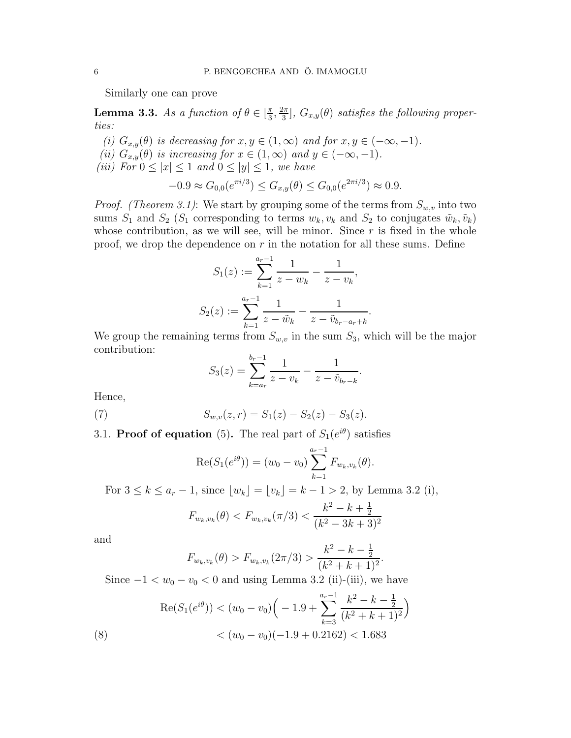Similarly one can prove

**Lemma 3.3.** *As a function of*  $\theta \in \left[\frac{\pi}{3}\right]$  $\frac{\pi}{3}, \frac{2\pi}{3}$  $\left\{ \frac{2\pi}{3}\right\}$ ,  $G_{x,y}(\theta)$  satisfies the following proper*ties:*

*(i)*  $G_{x,y}(\theta)$  *is decreasing for*  $x, y \in (1, \infty)$  *and for*  $x, y \in (-\infty, -1)$ *. (ii)*  $G_{x,y}(\theta)$  *is increasing for*  $x \in (1,\infty)$  *and*  $y \in (-\infty,-1)$ *. (iii)* For  $0 \leq |x| \leq 1$  and  $0 \leq |y| \leq 1$ , we have

$$
-0.9 \approx G_{0,0}(e^{\pi i/3}) \le G_{x,y}(\theta) \le G_{0,0}(e^{2\pi i/3}) \approx 0.9.
$$

*Proof. (Theorem 3.1)*: We start by grouping some of the terms from  $S_{w,v}$  into two sums  $S_1$  and  $S_2$  ( $S_1$  corresponding to terms  $w_k, v_k$  and  $S_2$  to conjugates  $\tilde{w}_k, \tilde{v}_k$ ) whose contribution, as we will see, will be minor. Since  $r$  is fixed in the whole proof, we drop the dependence on  $r$  in the notation for all these sums. Define

$$
S_1(z) := \sum_{k=1}^{a_r - 1} \frac{1}{z - w_k} - \frac{1}{z - v_k},
$$
  

$$
S_2(z) := \sum_{k=1}^{a_r - 1} \frac{1}{z - \tilde{w}_k} - \frac{1}{z - \tilde{v}_{b_r - a_r + k}}.
$$

We group the remaining terms from  $S_{w,v}$  in the sum  $S_3$ , which will be the major contribution:

$$
S_3(z) = \sum_{k=a_r}^{b_r-1} \frac{1}{z - v_k} - \frac{1}{z - \tilde{v}_{b_r-k}}
$$

.

.

Hence,

(7) 
$$
S_{w,v}(z,r) = S_1(z) - S_2(z) - S_3(z).
$$

3.1. **Proof of equation** (5). The real part of  $S_1(e^{i\theta})$  satisfies

$$
\operatorname{Re}(S_1(e^{i\theta})) = (w_0 - v_0) \sum_{k=1}^{a_r - 1} F_{w_k, v_k}(\theta).
$$

For  $3 \le k \le a_r - 1$ , since  $\lfloor w_k \rfloor = \lfloor v_k \rfloor = k - 1 > 2$ , by Lemma 3.2 (i),  $F_{w_k,v_k}(\theta) < F_{w_k,v_k}(\pi/3) <$  $k^2 - k + \frac{1}{2}$ 2  $(k^2-3k+3)^2$ 

and

$$
F_{w_k, v_k}(\theta) > F_{w_k, v_k}(2\pi/3) > \frac{k^2 - k - \frac{1}{2}}{(k^2 + k + 1)^2}
$$

Since  $-1 < w_0 - v_0 < 0$  and using Lemma 3.2 (ii)-(iii), we have

(8) 
$$
\operatorname{Re}(S_1(e^{i\theta})) < (w_0 - v_0) \Big( -1.9 + \sum_{k=3}^{a_r - 1} \frac{k^2 - k - \frac{1}{2}}{(k^2 + k + 1)^2} \Big) < (w_0 - v_0) (-1.9 + 0.2162) < 1.683
$$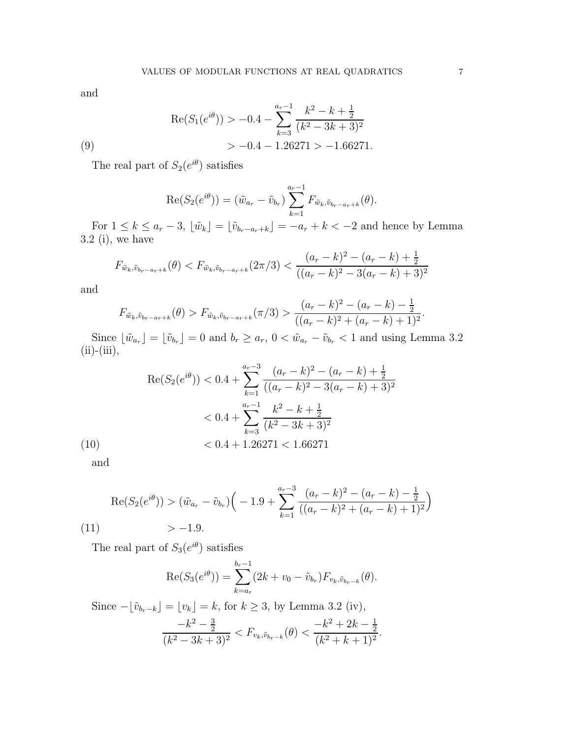and

(9)  
\n
$$
\operatorname{Re}(S_1(e^{i\theta})) > -0.4 - \sum_{k=3}^{a_r-1} \frac{k^2 - k + \frac{1}{2}}{(k^2 - 3k + 3)^2} \n> -0.4 - 1.26271 > -1.66271.
$$

The real part of  $S_2(e^{i\theta})$  satisfies

$$
\operatorname{Re}(S_2(e^{i\theta})) = (\tilde{w}_{a_r} - \tilde{v}_{b_r}) \sum_{k=1}^{a_r-1} F_{\tilde{w}_k, \tilde{v}_{b_r-a_r+k}}(\theta).
$$

For  $1 \leq k \leq a_r - 3$ ,  $\lfloor \tilde{w}_k \rfloor = \lfloor \tilde{v}_{b_r-a_r+k} \rfloor = -a_r + k < -2$  and hence by Lemma 3.2 (i), we have

$$
F_{\tilde{w}_k, \tilde{v}_{b_r-a_r+k}}(\theta) < F_{\tilde{w}_k, \tilde{v}_{b_r-a_r+k}}(2\pi/3) < \frac{(a_r-k)^2 - (a_r-k) + \frac{1}{2}}{((a_r-k)^2 - 3(a_r-k) + 3)^2}
$$

and

$$
F_{\tilde{w}_k, \tilde{v}_{b_r-a_r+k}}(\theta) > F_{\tilde{w}_k, \tilde{v}_{b_r-a_r+k}}(\pi/3) > \frac{(a_r-k)^2 - (a_r-k) - \frac{1}{2}}{((a_r-k)^2 + (a_r-k) + 1)^2}.
$$

Since  $\lfloor \tilde{w}_{a_r} \rfloor = \lfloor \tilde{v}_{b_r} \rfloor = 0$  and  $b_r \ge a_r$ ,  $0 < \tilde{w}_{a_r} - \tilde{v}_{b_r} < 1$  and using Lemma 3.2  $(ii)-(iii),$ 

(10)  
\n
$$
\operatorname{Re}(S_2(e^{i\theta})) < 0.4 + \sum_{k=1}^{a_r - 3} \frac{(a_r - k)^2 - (a_r - k) + \frac{1}{2}}{((a_r - k)^2 - 3(a_r - k) + 3)^2}
$$
\n
$$
\lt 0.4 + \sum_{k=3}^{a_r - 1} \frac{k^2 - k + \frac{1}{2}}{(k^2 - 3k + 3)^2}
$$
\n
$$
\lt 0.4 + 1.26271 < 1.66271
$$

and

$$
\operatorname{Re}(S_2(e^{i\theta})) > (\tilde{w}_{a_r} - \tilde{v}_{b_r})\left(-1.9 + \sum_{k=1}^{a_r - 3} \frac{(a_r - k)^2 - (a_r - k) - \frac{1}{2}}{((a_r - k)^2 + (a_r - k) + 1)^2}\right)
$$
\n(11) 
$$
> -1.9.
$$

The real part of  $S_3(e^{i\theta})$  satisfies

$$
\operatorname{Re}(S_3(e^{i\theta})) = \sum_{k=a_r}^{b_r-1} (2k + v_0 - \tilde{v}_{b_r}) F_{v_k, \tilde{v}_{b_r-k}}(\theta).
$$

Since  $-\lfloor \tilde{v}_{b_r-k}\rfloor = \lfloor v_k\rfloor = k$ , for  $k \geq 3$ , by Lemma 3.2 (iv),

$$
\frac{-k^2 - \frac{3}{2}}{(k^2 - 3k + 3)^2} < F_{v_k, \tilde{v}_{b_r - k}}(\theta) < \frac{-k^2 + 2k - \frac{1}{2}}{(k^2 + k + 1)^2}.
$$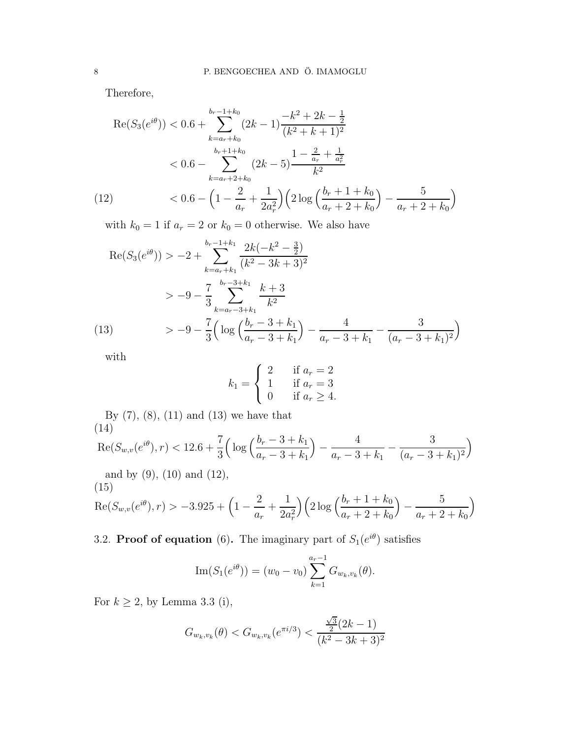Therefore,

$$
\operatorname{Re}(S_3(e^{i\theta})) < 0.6 + \sum_{k=a_r+k_0}^{b_r-1+k_0} (2k-1) \frac{-k^2 + 2k - \frac{1}{2}}{(k^2 + k + 1)^2}
$$
\n
$$
< 0.6 - \sum_{k=a_r+2+k_0}^{b_r+1+k_0} (2k-5) \frac{1 - \frac{2}{a_r} + \frac{1}{a_r^2}}{k^2}
$$
\n
$$
\left(12\right) \qquad < 0.6 - \left(1 - \frac{2}{a_r} + \frac{1}{2a_r^2}\right) \left(2 \log \left(\frac{b_r + 1 + k_0}{a_r + 2 + k_0}\right) - \frac{5}{a_r + 2 + k_0}\right)
$$

with  $k_0 = 1$  if  $a_r = 2$  or  $k_0 = 0$  otherwise. We also have

$$
\operatorname{Re}(S_3(e^{i\theta})) > -2 + \sum_{k=a_r+k_1}^{b_r-1+k_1} \frac{2k(-k^2 - \frac{3}{2})}{(k^2 - 3k + 3)^2}
$$
  
> -9 -  $\frac{7}{3} \sum_{k=a_r-3+k_1}^{b_r-3+k_1} \frac{k+3}{k^2}$   
(13) 
$$
> -9 - \frac{7}{3} \Big( \log \Big( \frac{b_r - 3 + k_1}{a_r - 3 + k_1} \Big) - \frac{4}{a_r - 3 + k_1} - \frac{3}{(a_r - 3 + k_1)^2} \Big)
$$

with

$$
k_1 = \begin{cases} 2 & \text{if } a_r = 2 \\ 1 & \text{if } a_r = 3 \\ 0 & \text{if } a_r \ge 4. \end{cases}
$$

By (7), (8), (11) and (13) we have that (14)

$$
\operatorname{Re}(S_{w,v}(e^{i\theta}),r) < 12.6 + \frac{7}{3} \left( \log \left( \frac{b_r - 3 + k_1}{a_r - 3 + k_1} \right) - \frac{4}{a_r - 3 + k_1} - \frac{3}{(a_r - 3 + k_1)^2} \right)
$$

and by (9), (10) and (12),

(15)  
\n
$$
\operatorname{Re}(S_{w,v}(e^{i\theta}),r) > -3.925 + \left(1 - \frac{2}{a_r} + \frac{1}{2a_r^2}\right) \left(2 \log \left(\frac{b_r + 1 + k_0}{a_r + 2 + k_0}\right) - \frac{5}{a_r + 2 + k_0}\right)
$$

3.2. **Proof of equation** (6). The imaginary part of  $S_1(e^{i\theta})$  satisfies

Im
$$
(S_1(e^{i\theta}))
$$
 =  $(w_0 - v_0) \sum_{k=1}^{a_r-1} G_{w_k, v_k}(\theta)$ .

For  $k\geq 2,$  by Lemma 3.3 (i),

$$
G_{w_k, v_k}(\theta) < G_{w_k, v_k}(e^{\pi i/3}) < \frac{\frac{\sqrt{3}}{2}(2k-1)}{(k^2 - 3k + 3)^2}
$$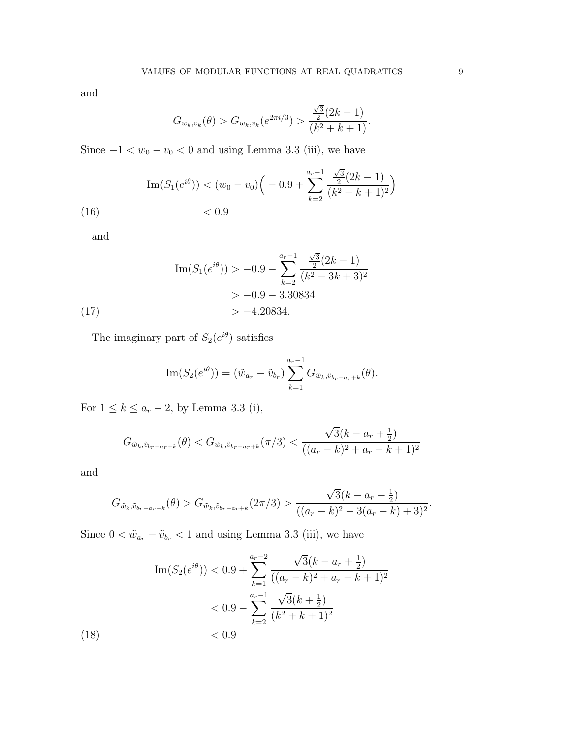and

$$
G_{w_k, v_k}(\theta) > G_{w_k, v_k}(e^{2\pi i/3}) > \frac{\frac{\sqrt{3}}{2}(2k-1)}{(k^2+k+1)}.
$$

Since  $-1 < w_0 - v_0 < 0$  and using Lemma 3.3 (iii), we have

$$
\text{Im}(S_1(e^{i\theta})) < (w_0 - v_0) \Big( -0.9 + \sum_{k=2}^{a_r - 1} \frac{\frac{\sqrt{3}}{2} (2k - 1)}{(k^2 + k + 1)^2} \Big) \\ < 0.9
$$

and

$$
\text{Im}(S_1(e^{i\theta})) > -0.9 - \sum_{k=2}^{a_r-1} \frac{\frac{\sqrt{3}}{2}(2k-1)}{(k^2 - 3k + 3)^2} > -0.9 - 3.30834 > -4.20834.
$$
\n(17)

The imaginary part of  $S_2(e^{i\theta})$  satisfies

Im
$$
(S_2(e^{i\theta})) = (\tilde{w}_{a_r} - \tilde{v}_{b_r}) \sum_{k=1}^{a_r-1} G_{\tilde{w}_k, \tilde{v}_{b_r-a_r+k}}(\theta).
$$

For  $1 \le k \le a_r - 2$ , by Lemma 3.3 (i),

$$
G_{\tilde{w}_k, \tilde{v}_{b_r - a_r + k}}(\theta) < G_{\tilde{w}_k, \tilde{v}_{b_r - a_r + k}}(\pi/3) < \frac{\sqrt{3}(k - a_r + \frac{1}{2})}{((a_r - k)^2 + a_r - k + 1)^2}
$$

and

 $(18)$ 

$$
G_{\tilde{w}_k, \tilde{v}_{b_r-a_r+k}}(\theta) > G_{\tilde{w}_k, \tilde{v}_{b_r-a_r+k}}(2\pi/3) > \frac{\sqrt{3}(k-a_r+\frac{1}{2})}{((a_r-k)^2-3(a_r-k)+3)^2}.
$$

Since  $0 < \tilde{w}_{a_r} - \tilde{v}_{b_r} < 1$  and using Lemma 3.3 (iii), we have

Im
$$
(S_2(e^{i\theta}))
$$
  $< 0.9 + \sum_{k=1}^{a_r-2} \frac{\sqrt{3}(k - a_r + \frac{1}{2})}{((a_r - k)^2 + a_r - k + 1)^2}$   
 $< 0.9 - \sum_{k=2}^{a_r-1} \frac{\sqrt{3}(k + \frac{1}{2})}{(k^2 + k + 1)^2}$   
 $< 0.9$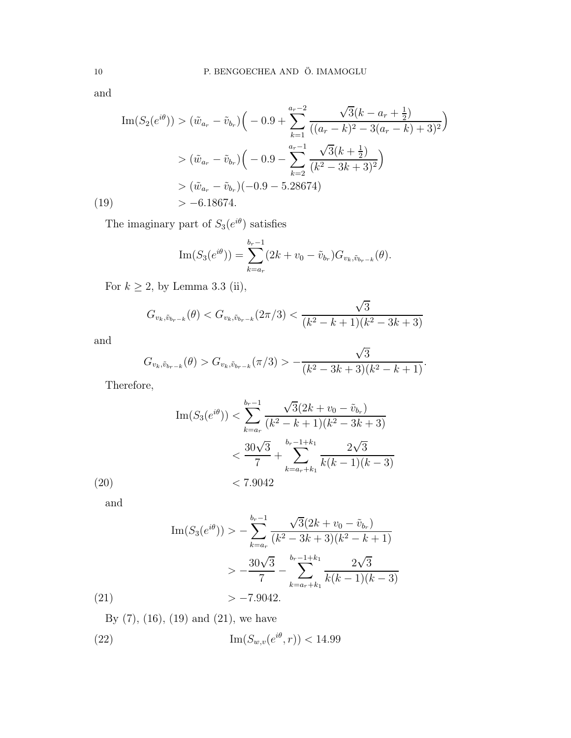and

$$
\operatorname{Im}(S_2(e^{i\theta})) > (\tilde{w}_{a_r} - \tilde{v}_{b_r})\left(-0.9 + \sum_{k=1}^{a_r-2} \frac{\sqrt{3}(k - a_r + \frac{1}{2})}{((a_r - k)^2 - 3(a_r - k) + 3)^2}\right)
$$
  
>  $(\tilde{w}_{a_r} - \tilde{v}_{b_r})\left(-0.9 - \sum_{k=2}^{a_r-1} \frac{\sqrt{3}(k + \frac{1}{2})}{(k^2 - 3k + 3)^2}\right)$   
>  $(\tilde{w}_{a_r} - \tilde{v}_{b_r})(-0.9 - 5.28674)$   
> -6.18674.

The imaginary part of  $S_3(e^{i\theta})$  satisfies

Im
$$
(S_3(e^{i\theta})) = \sum_{k=a_r}^{b_r-1} (2k + v_0 - \tilde{v}_{b_r}) G_{v_k, \tilde{v}_{b_r-k}}(\theta).
$$

For  $k\geq 2,$  by Lemma 3.3 (ii),

$$
G_{v_k, \tilde{v}_{b_r-k}}(\theta) < G_{v_k, \tilde{v}_{b_r-k}}(2\pi/3) < \frac{\sqrt{3}}{(k^2 - k + 1)(k^2 - 3k + 3)}
$$

and

$$
G_{v_k,\tilde{v}_{b_r-k}}(\theta) > G_{v_k,\tilde{v}_{b_r-k}}(\pi/3) > -\frac{\sqrt{3}}{(k^2 - 3k + 3)(k^2 - k + 1)}.
$$

Therefore,

Im
$$
(S_3(e^{i\theta})) < \sum_{k=a_r}^{b_r-1} \frac{\sqrt{3}(2k + v_0 - \tilde{v}_{b_r})}{(k^2 - k + 1)(k^2 - 3k + 3)}
$$
  
 $< \frac{30\sqrt{3}}{7} + \sum_{k=a_r+k_1}^{b_r-1+k_1} \frac{2\sqrt{3}}{k(k-1)(k-3)}$   
 $< 7.9042$ 

 $(20)$ and

$$
\operatorname{Im}(S_3(e^{i\theta})) > -\sum_{k=a_r}^{b_r-1} \frac{\sqrt{3}(2k + v_0 - \tilde{v}_{b_r})}{(k^2 - 3k + 3)(k^2 - k + 1)}
$$
  
> 
$$
-\frac{30\sqrt{3}}{7} - \sum_{k=a_r+k_1}^{b_r-1+k_1} \frac{2\sqrt{3}}{k(k-1)(k-3)}
$$
  
(21)  
> -7.9042.

By (7), (16), (19) and (21), we have

(22) 
$$
\text{Im}(S_{w,v}(e^{i\theta},r)) < 14.99
$$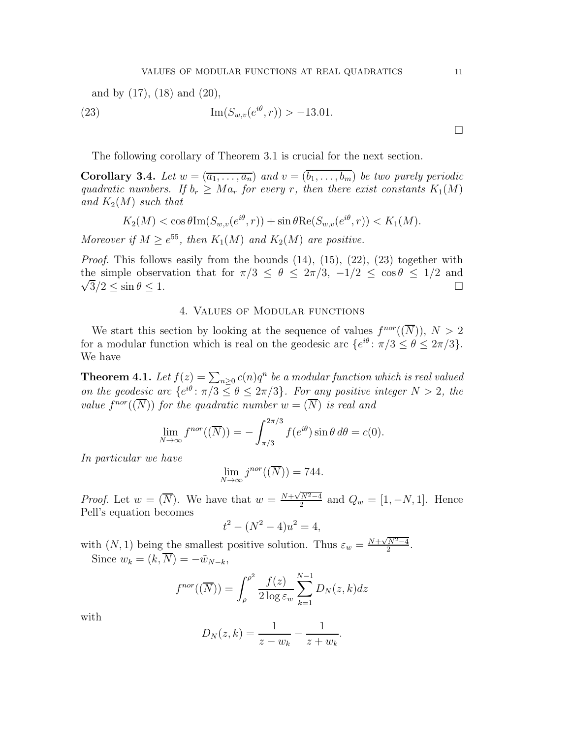and by 
$$
(17)
$$
,  $(18)$  and  $(20)$ ,

(23) 
$$
\operatorname{Im}(S_{w,v}(e^{i\theta},r)) > -13.01.
$$

The following corollary of Theorem 3.1 is crucial for the next section.

**Corollary 3.4.** Let  $w = (\overline{a_1, \ldots, a_n})$  and  $v = (\overline{b_1, \ldots, b_m})$  be two purely periodic *quadratic numbers. If*  $b_r \geq Ma_r$  *for every r, then there exist constants*  $K_1(M)$ and  $K_2(M)$  *such that* 

$$
K_2(M) < \cos\theta \operatorname{Im}(S_{w,v}(e^{i\theta}, r)) + \sin\theta \operatorname{Re}(S_{w,v}(e^{i\theta}, r)) < K_1(M).
$$

Moreover if  $M \ge e^{55}$ , then  $K_1(M)$  and  $K_2(M)$  are positive.

*Proof.* This follows easily from the bounds  $(14)$ ,  $(15)$ ,  $(22)$ ,  $(23)$  together with  $\sqrt{3}/2 \le \sin \theta \le 1.$ the simple observation that for  $\pi/3 \le \theta \le 2\pi/3$ ,  $-1/2 \le \cos \theta \le 1/2$  and  $\sqrt{3}/2 < \sin \theta < 1$ .

#### 4. Values of Modular functions

We start this section by looking at the sequence of values  $f^{nor}(\overline{N})$ ,  $N > 2$ for a modular function which is real on the geodesic arc  $\{e^{i\theta} : \pi/3 \le \theta \le 2\pi/3\}$ . We have

**Theorem 4.1.** Let  $f(z) = \sum_{n\geq 0} c(n)q^n$  be a modular function which is real valued *on the geodesic arc*  $\{e^{i\theta} : \pi/3 \le \theta \le 2\pi/3\}$ *. For any positive integer*  $N > 2$ *, the value*  $f^{nor}(\overline{N})$  *for the quadratic number*  $w = (\overline{N})$  *is real and* 

$$
\lim_{N \to \infty} f^{nor}((\overline{N})) = -\int_{\pi/3}^{2\pi/3} f(e^{i\theta}) \sin \theta \, d\theta = c(0).
$$

*In particular we have*

$$
\lim_{N \to \infty} j^{nor}((\overline{N})) = 744.
$$

*Proof.* Let  $w = (\overline{N})$ . We have that  $w = \frac{N + \sqrt{N^2 - 4}}{2}$  and  $Q_w = [1, -N, 1]$ . Hence Pell's equation becomes

$$
t^2 - (N^2 - 4)u^2 = 4,
$$

with  $(N, 1)$  being the smallest positive solution. Thus  $\varepsilon_w = \frac{N + \sqrt{N^2 - 4}}{2}$ . Since  $w_k = (k, \overline{N}) = -\tilde{w}_{N-k},$ 

$$
f^{nor}((\overline{N})) = \int_{\rho}^{\rho^2} \frac{f(z)}{2 \log \varepsilon_w} \sum_{k=1}^{N-1} D_N(z, k) dz
$$

with

$$
D_N(z,k) = \frac{1}{z - w_k} - \frac{1}{z + w_k}.
$$

 $\Box$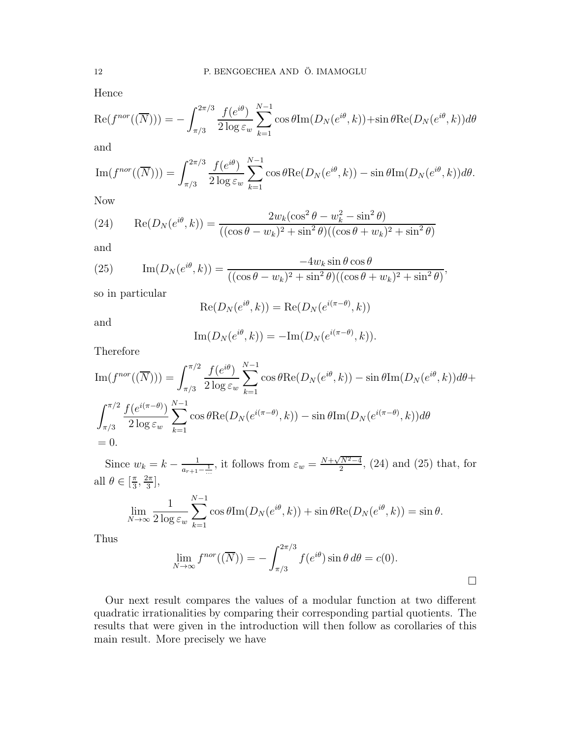Hence

$$
\operatorname{Re}(f^{nor}((\overline{N}))) = -\int_{\pi/3}^{2\pi/3} \frac{f(e^{i\theta})}{2 \log \varepsilon_w} \sum_{k=1}^{N-1} \cos \theta \operatorname{Im}(D_N(e^{i\theta}, k)) + \sin \theta \operatorname{Re}(D_N(e^{i\theta}, k)) d\theta
$$

and

$$
\operatorname{Im}(f^{nor}((\overline{N}))) = \int_{\pi/3}^{2\pi/3} \frac{f(e^{i\theta})}{2 \log \varepsilon_w} \sum_{k=1}^{N-1} \cos \theta \operatorname{Re}(D_N(e^{i\theta}, k)) - \sin \theta \operatorname{Im}(D_N(e^{i\theta}, k)) d\theta.
$$

Now

(24) 
$$
\operatorname{Re}(D_N(e^{i\theta}, k)) = \frac{2w_k(\cos^2 \theta - w_k^2 - \sin^2 \theta)}{((\cos \theta - w_k)^2 + \sin^2 \theta)((\cos \theta + w_k)^2 + \sin^2 \theta)}
$$

and

(25) 
$$
\operatorname{Im}(D_N(e^{i\theta}, k)) = \frac{-4w_k \sin \theta \cos \theta}{((\cos \theta - w_k)^2 + \sin^2 \theta)((\cos \theta + w_k)^2 + \sin^2 \theta)},
$$

so in particular

$$
Re(D_N(e^{i\theta}, k)) = Re(D_N(e^{i(\pi - \theta)}, k))
$$

and

$$
\operatorname{Im}(D_N(e^{i\theta}, k)) = -\operatorname{Im}(D_N(e^{i(\pi - \theta)}, k)).
$$

Therefore

$$
\operatorname{Im}(f^{nor}((\overline{N}))) = \int_{\pi/3}^{\pi/2} \frac{f(e^{i\theta})}{2 \log \varepsilon_w} \sum_{k=1}^{N-1} \cos \theta \operatorname{Re}(D_N(e^{i\theta}, k)) - \sin \theta \operatorname{Im}(D_N(e^{i\theta}, k)) d\theta +
$$
  

$$
\int_{\pi/3}^{\pi/2} \frac{f(e^{i(\pi-\theta)})}{2 \log \varepsilon_w} \sum_{k=1}^{N-1} \cos \theta \operatorname{Re}(D_N(e^{i(\pi-\theta)}, k)) - \sin \theta \operatorname{Im}(D_N(e^{i(\pi-\theta)}, k)) d\theta
$$
  
= 0.

Since  $w_k = k - \frac{1}{a_{r+1} - \frac{1}{m}}$ , it follows from  $\varepsilon_w = \frac{N + \sqrt{N^2 - 4}}{2}$ , (24) and (25) that, for all  $\theta \in [\frac{\pi}{3}$  $\frac{\pi}{3}, \frac{2\pi}{3}$  $\frac{2\pi}{3}$ ,

$$
\lim_{N \to \infty} \frac{1}{2 \log \varepsilon_w} \sum_{k=1}^{N-1} \cos \theta \text{Im}(D_N(e^{i\theta}, k)) + \sin \theta \text{Re}(D_N(e^{i\theta}, k)) = \sin \theta.
$$

Thus

$$
\lim_{N \to \infty} f^{nor}((\overline{N})) = -\int_{\pi/3}^{2\pi/3} f(e^{i\theta}) \sin \theta \, d\theta = c(0).
$$

Our next result compares the values of a modular function at two different quadratic irrationalities by comparing their corresponding partial quotients. The results that were given in the introduction will then follow as corollaries of this main result. More precisely we have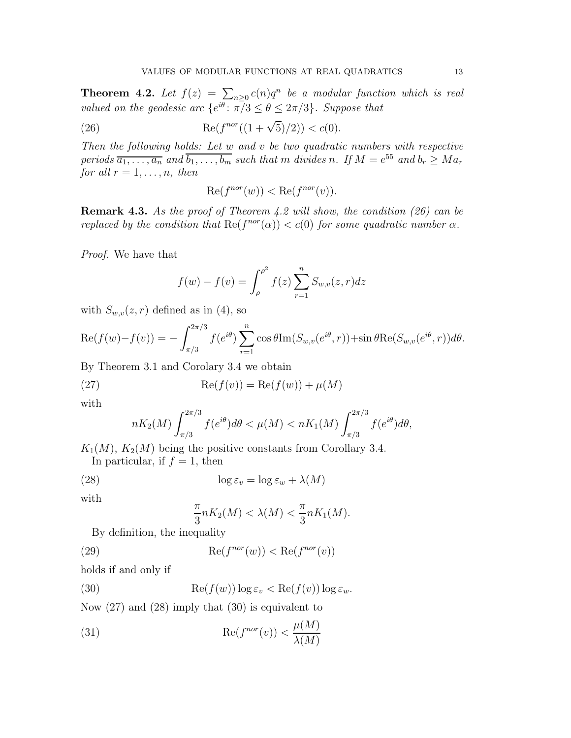**Theorem 4.2.** Let  $f(z) = \sum_{n\geq 0} c(n)q^n$  be a modular function which is real *valued on the geodesic arc*  $\{e^{i\theta} : \pi/3 \le \theta \le 2\pi/3\}$ *. Suppose that* 

(26) 
$$
\operatorname{Re}(f^{nor}((1+\sqrt{5})/2)) < c(0).
$$

*Then the following holds: Let* w *and* v *be two quadratic numbers with respective periods*  $\overline{a_1, \ldots, a_n}$  and  $\overline{b_1, \ldots, b_m}$  such that m divides n. If  $M = e^{55}$  and  $b_r \geq Ma_r$ *for all*  $r = 1, \ldots, n$ *, then* 

$$
\operatorname{Re}(f^{nor}(w)) < \operatorname{Re}(f^{nor}(v)).
$$

Remark 4.3. *As the proof of Theorem 4.2 will show, the condition (26) can be replaced by the condition that*  $\text{Re}(f^{nor}(\alpha)) < c(0)$  *for some quadratic number*  $\alpha$ *.* 

*Proof.* We have that

$$
f(w) - f(v) = \int_{\rho}^{\rho^2} f(z) \sum_{r=1}^{n} S_{w,v}(z,r) dz
$$

with  $S_{w,v}(z,r)$  defined as in (4), so

$$
\operatorname{Re}(f(w)-f(v)) = -\int_{\pi/3}^{2\pi/3} f(e^{i\theta}) \sum_{r=1}^n \cos \theta \operatorname{Im}(S_{w,v}(e^{i\theta},r)) + \sin \theta \operatorname{Re}(S_{w,v}(e^{i\theta},r)) d\theta.
$$

By Theorem 3.1 and Corolary 3.4 we obtain

(27) 
$$
\operatorname{Re}(f(v)) = \operatorname{Re}(f(w)) + \mu(M)
$$

with

$$
nK_2(M)\int_{\pi/3}^{2\pi/3}f(e^{i\theta})d\theta < \mu(M) < nK_1(M)\int_{\pi/3}^{2\pi/3}f(e^{i\theta})d\theta,
$$

 $K_1(M)$ ,  $K_2(M)$  being the positive constants from Corollary 3.4.

In particular, if  $f = 1$ , then

(28) 
$$
\log \varepsilon_v = \log \varepsilon_w + \lambda(M)
$$

with

$$
\frac{\pi}{3}nK_2(M) < \lambda(M) < \frac{\pi}{3}nK_1(M).
$$

By definition, the inequality

(29) 
$$
\operatorname{Re}(f^{nor}(w)) < \operatorname{Re}(f^{nor}(v))
$$

holds if and only if

(30) 
$$
\operatorname{Re}(f(w))\log \varepsilon_v < \operatorname{Re}(f(v))\log \varepsilon_w.
$$

Now (27) and (28) imply that (30) is equivalent to

(31) 
$$
\operatorname{Re}(f^{nor}(v)) < \frac{\mu(M)}{\lambda(M)}
$$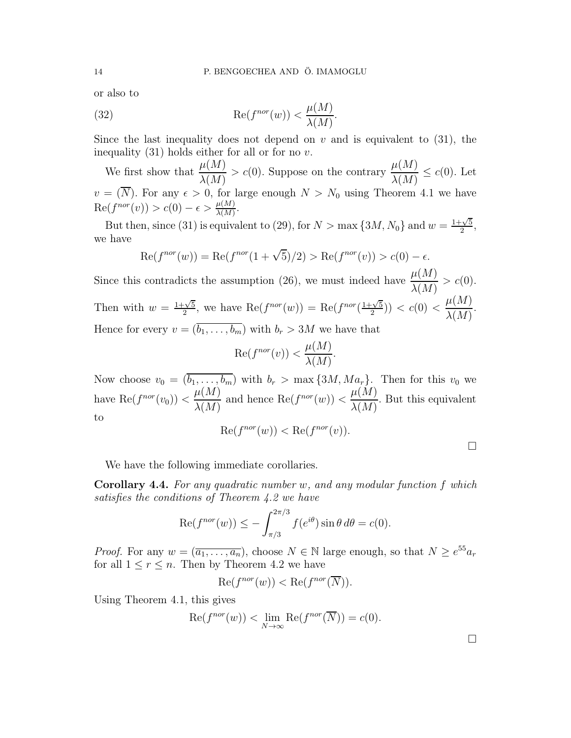or also to

(32) 
$$
\operatorname{Re}(f^{nor}(w)) < \frac{\mu(M)}{\lambda(M)}.
$$

Since the last inequality does not depend on  $v$  and is equivalent to (31), the inequality  $(31)$  holds either for all or for no v.

We first show that  $\frac{\mu(M)}{\lambda(M)}$  $\lambda(M)$  $> c(0)$ . Suppose on the contrary  $\frac{\mu(M)}{\lambda(M)}$  $\frac{\mu(1)}{\lambda(M)} \leq c(0)$ . Let  $v = (\overline{N})$ . For any  $\epsilon > 0$ , for large enough  $N > N_0$  using Theorem 4.1 we have  $\operatorname{Re}(f^{nor}(v)) > c(0) - \epsilon > \frac{\mu(M)}{\lambda(M)}.$ 

But then, since (31) is equivalent to (29), for  $N > \max\{3M, N_0\}$  and  $w = \frac{1+\sqrt{5}}{2}$  $\frac{\sqrt{5}}{2}$ , we have

$$
\operatorname{Re}(f^{nor}(w)) = \operatorname{Re}(f^{nor}(1+\sqrt{5})/2) > \operatorname{Re}(f^{nor}(v)) > c(0) - \epsilon.
$$

Since this contradicts the assumption (26), we must indeed have  $\mu(M)$  $\lambda(M)$  $> c(0).$ Then with  $w = \frac{1+\sqrt{5}}{2}$  $\frac{1}{2}$ , we have  $\text{Re}(f^{nor}(w)) = \text{Re}(f^{nor}(\frac{1+\sqrt{5}}{2}))$  $\frac{1-\sqrt{5}}{2})$  >  $c(0)$  <  $\mu(M)$  $\lambda(M)$ . Hence for every  $v = (\overline{b_1, \ldots, b_m})$  with  $b_r > 3M$  we have that

$$
\operatorname{Re}(f^{nor}(v)) < \frac{\mu(M)}{\lambda(M)}.
$$

Now choose  $v_0 = (\overline{b_1, \ldots, b_m})$  with  $b_r > \max\{3M, Ma_r\}$ . Then for this  $v_0$  we have Re $(f^{nor}(v_0)) < \frac{\mu(M)}{\lambda(M)}$  $\lambda(M)$ and hence  $\text{Re}(f^{nor}(w)) < \frac{\mu(M)}{\lambda(M)}$  $\lambda(M)$ . But this equivalent to

$$
Re(f^{nor}(w)) < Re(f^{nor}(v)).
$$

We have the following immediate corollaries.

Corollary 4.4. *For any quadratic number* w*, and any modular function* f *which satisfies the conditions of Theorem 4.2 we have*

$$
\operatorname{Re}(f^{nor}(w)) \le -\int_{\pi/3}^{2\pi/3} f(e^{i\theta}) \sin \theta \, d\theta = c(0).
$$

*Proof.* For any  $w = (\overline{a_1, \ldots, a_n})$ , choose  $N \in \mathbb{N}$  large enough, so that  $N \geq e^{55} a_r$ for all  $1 \le r \le n$ . Then by Theorem 4.2 we have

$$
\operatorname{Re}(f^{nor}(w)) < \operatorname{Re}(f^{nor}(\overline{N})).
$$

Using Theorem 4.1, this gives

$$
Re(f^{nor}(w)) < \lim_{N \to \infty} Re(f^{nor}(\overline{N})) = c(0).
$$

 $\Box$